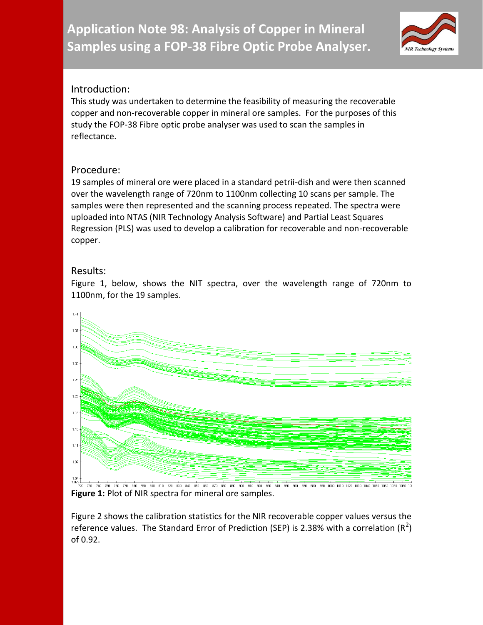**Application Note 98: Analysis of Copper in Mineral Samples using a FOP-38 Fibre Optic Probe Analyser.**



## Introduction:

This study was undertaken to determine the feasibility of measuring the recoverable copper and non-recoverable copper in mineral ore samples. For the purposes of this study the FOP-38 Fibre optic probe analyser was used to scan the samples in reflectance.

## Procedure:

19 samples of mineral ore were placed in a standard petrii-dish and were then scanned over the wavelength range of 720nm to 1100nm collecting 10 scans per sample. The samples were then represented and the scanning process repeated. The spectra were uploaded into NTAS (NIR Technology Analysis Software) and Partial Least Squares Regression (PLS) was used to develop a calibration for recoverable and non-recoverable copper.

## Results:

 $1.41$  $1.3$ 1.33  $1.30$ 1.26  $1.22$  $1.18$  $1.15$  $1.11$ 1.07 The discreption of the state of the state of the state of the state of the state of the state of the state of the state of the state of the state of the state of the state of the state of the state of the state of the stat 730 740 750 760 770 780 790 800 810 820 830 840 850 860 870 880 890 900 910 920 930 940 950 960  $970$  $980$ 990 1000 1010 1020 1030 1040 1050 1060 1070

Figure 1, below, shows the NIT spectra, over the wavelength range of 720nm to 1100nm, for the 19 samples.

Figure 2 shows the calibration statistics for the NIR recoverable copper values versus the reference values. The Standard Error of Prediction (SEP) is 2.38% with a correlation (R<sup>2</sup>) of 0.92.